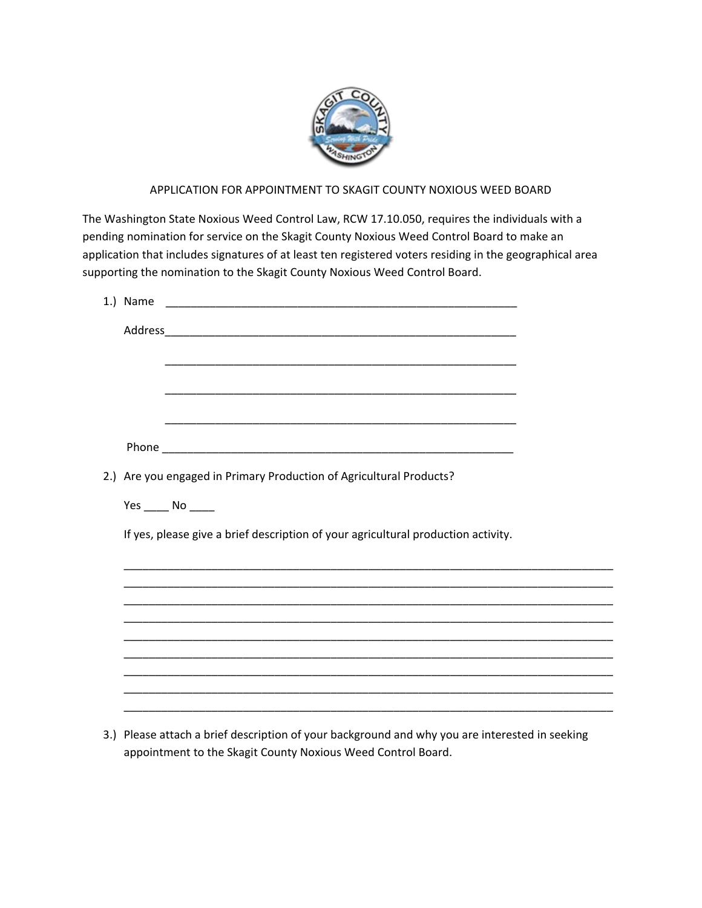

# APPLICATION FOR APPOINTMENT TO SKAGIT COUNTY NOXIOUS WEED BOARD

The Washington State Noxious Weed Control Law, RCW 17.10.050, requires the individuals with a pending nomination for service on the Skagit County Noxious Weed Control Board to make an application that includes signatures of at least ten registered voters residing in the geographical area supporting the nomination to the Skagit County Noxious Weed Control Board.

| 1.) Name |                                                                                                                       |
|----------|-----------------------------------------------------------------------------------------------------------------------|
|          |                                                                                                                       |
|          | <u> 1980 - Johann Stoff, deutscher Stoff, der Stoff, der Stoff, der Stoff, der Stoff, der Stoff, der Stoff, der S</u> |
|          |                                                                                                                       |
|          |                                                                                                                       |
|          | 2.) Are you engaged in Primary Production of Agricultural Products?                                                   |
|          | $Yes$ No _______                                                                                                      |
|          | If yes, please give a brief description of your agricultural production activity.                                     |
|          |                                                                                                                       |
|          |                                                                                                                       |
|          |                                                                                                                       |
|          |                                                                                                                       |
|          |                                                                                                                       |
|          |                                                                                                                       |
|          |                                                                                                                       |
|          |                                                                                                                       |

3.) Please attach a brief description of your background and why you are interested in seeking appointment to the Skagit County Noxious Weed Control Board.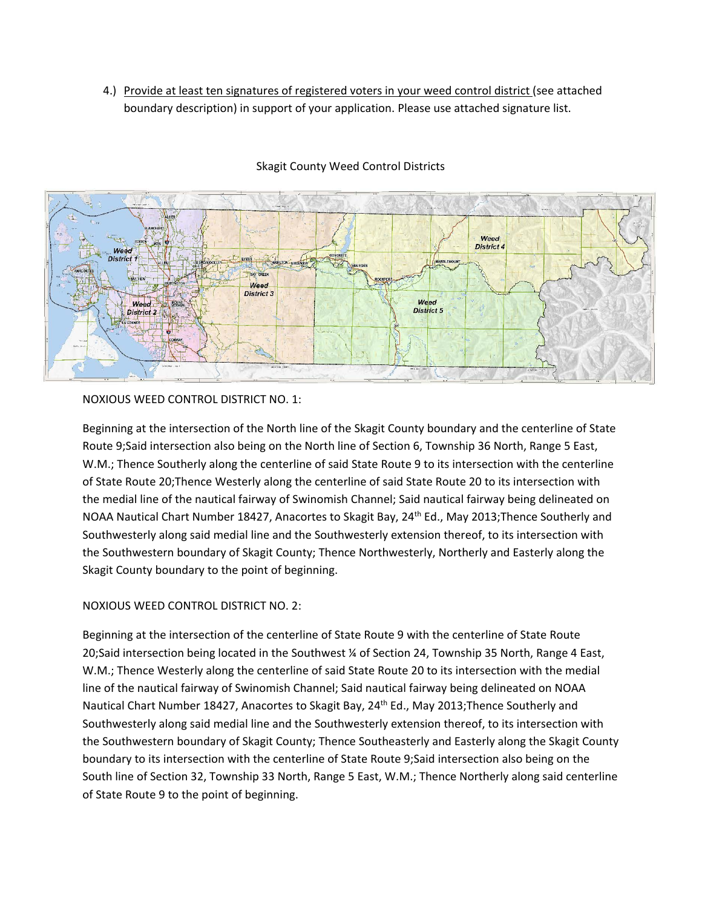4.) Provide at least ten signatures of registered voters in your weed control district (see attached boundary description) in support of your application. Please use attached signature list.



## Skagit County Weed Control Districts

NOXIOUS WEED CONTROL DISTRICT NO. 1:

Beginning at the intersection of the North line of the Skagit County boundary and the centerline of State Route 9;Said intersection also being on the North line of Section 6, Township 36 North, Range 5 East, W.M.; Thence Southerly along the centerline of said State Route 9 to its intersection with the centerline of State Route 20;Thence Westerly along the centerline of said State Route 20 to its intersection with the medial line of the nautical fairway of Swinomish Channel; Said nautical fairway being delineated on NOAA Nautical Chart Number 18427, Anacortes to Skagit Bay, 24<sup>th</sup> Ed., May 2013; Thence Southerly and Southwesterly along said medial line and the Southwesterly extension thereof, to its intersection with the Southwestern boundary of Skagit County; Thence Northwesterly, Northerly and Easterly along the Skagit County boundary to the point of beginning.

# NOXIOUS WEED CONTROL DISTRICT NO. 2:

Beginning at the intersection of the centerline of State Route 9 with the centerline of State Route 20;Said intersection being located in the Southwest ¼ of Section 24, Township 35 North, Range 4 East, W.M.; Thence Westerly along the centerline of said State Route 20 to its intersection with the medial line of the nautical fairway of Swinomish Channel; Said nautical fairway being delineated on NOAA Nautical Chart Number 18427, Anacortes to Skagit Bay, 24<sup>th</sup> Ed., May 2013; Thence Southerly and Southwesterly along said medial line and the Southwesterly extension thereof, to its intersection with the Southwestern boundary of Skagit County; Thence Southeasterly and Easterly along the Skagit County boundary to its intersection with the centerline of State Route 9;Said intersection also being on the South line of Section 32, Township 33 North, Range 5 East, W.M.; Thence Northerly along said centerline of State Route 9 to the point of beginning.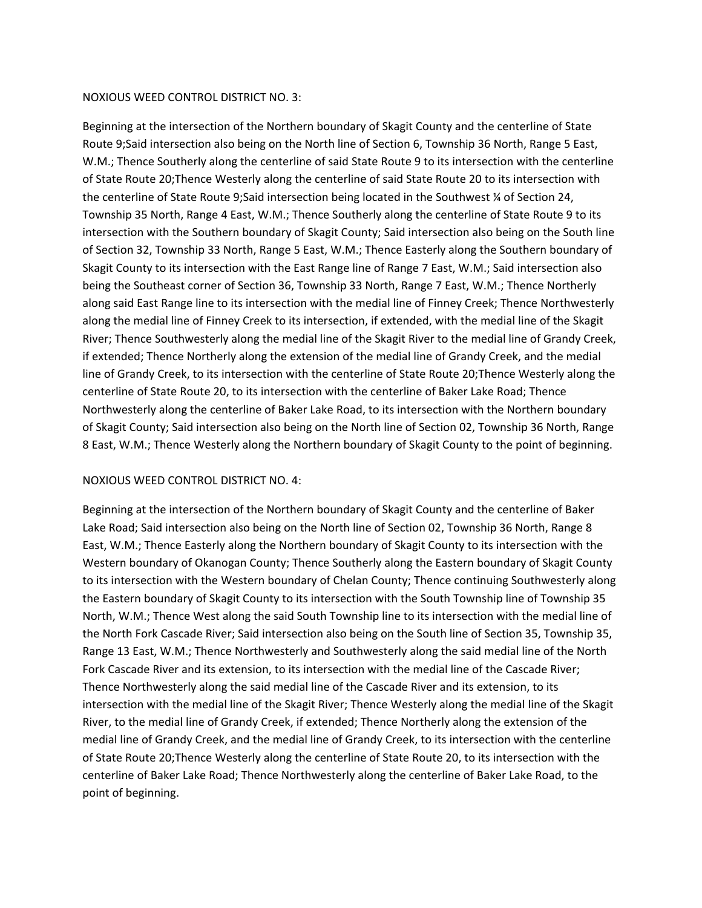#### NOXIOUS WEED CONTROL DISTRICT NO. 3:

Beginning at the intersection of the Northern boundary of Skagit County and the centerline of State Route 9;Said intersection also being on the North line of Section 6, Township 36 North, Range 5 East, W.M.; Thence Southerly along the centerline of said State Route 9 to its intersection with the centerline of State Route 20;Thence Westerly along the centerline of said State Route 20 to its intersection with the centerline of State Route 9;Said intersection being located in the Southwest ¼ of Section 24, Township 35 North, Range 4 East, W.M.; Thence Southerly along the centerline of State Route 9 to its intersection with the Southern boundary of Skagit County; Said intersection also being on the South line of Section 32, Township 33 North, Range 5 East, W.M.; Thence Easterly along the Southern boundary of Skagit County to its intersection with the East Range line of Range 7 East, W.M.; Said intersection also being the Southeast corner of Section 36, Township 33 North, Range 7 East, W.M.; Thence Northerly along said East Range line to its intersection with the medial line of Finney Creek; Thence Northwesterly along the medial line of Finney Creek to its intersection, if extended, with the medial line of the Skagit River; Thence Southwesterly along the medial line of the Skagit River to the medial line of Grandy Creek, if extended; Thence Northerly along the extension of the medial line of Grandy Creek, and the medial line of Grandy Creek, to its intersection with the centerline of State Route 20;Thence Westerly along the centerline of State Route 20, to its intersection with the centerline of Baker Lake Road; Thence Northwesterly along the centerline of Baker Lake Road, to its intersection with the Northern boundary of Skagit County; Said intersection also being on the North line of Section 02, Township 36 North, Range 8 East, W.M.; Thence Westerly along the Northern boundary of Skagit County to the point of beginning.

#### NOXIOUS WEED CONTROL DISTRICT NO. 4:

Beginning at the intersection of the Northern boundary of Skagit County and the centerline of Baker Lake Road; Said intersection also being on the North line of Section 02, Township 36 North, Range 8 East, W.M.; Thence Easterly along the Northern boundary of Skagit County to its intersection with the Western boundary of Okanogan County; Thence Southerly along the Eastern boundary of Skagit County to its intersection with the Western boundary of Chelan County; Thence continuing Southwesterly along the Eastern boundary of Skagit County to its intersection with the South Township line of Township 35 North, W.M.; Thence West along the said South Township line to its intersection with the medial line of the North Fork Cascade River; Said intersection also being on the South line of Section 35, Township 35, Range 13 East, W.M.; Thence Northwesterly and Southwesterly along the said medial line of the North Fork Cascade River and its extension, to its intersection with the medial line of the Cascade River; Thence Northwesterly along the said medial line of the Cascade River and its extension, to its intersection with the medial line of the Skagit River; Thence Westerly along the medial line of the Skagit River, to the medial line of Grandy Creek, if extended; Thence Northerly along the extension of the medial line of Grandy Creek, and the medial line of Grandy Creek, to its intersection with the centerline of State Route 20;Thence Westerly along the centerline of State Route 20, to its intersection with the centerline of Baker Lake Road; Thence Northwesterly along the centerline of Baker Lake Road, to the point of beginning.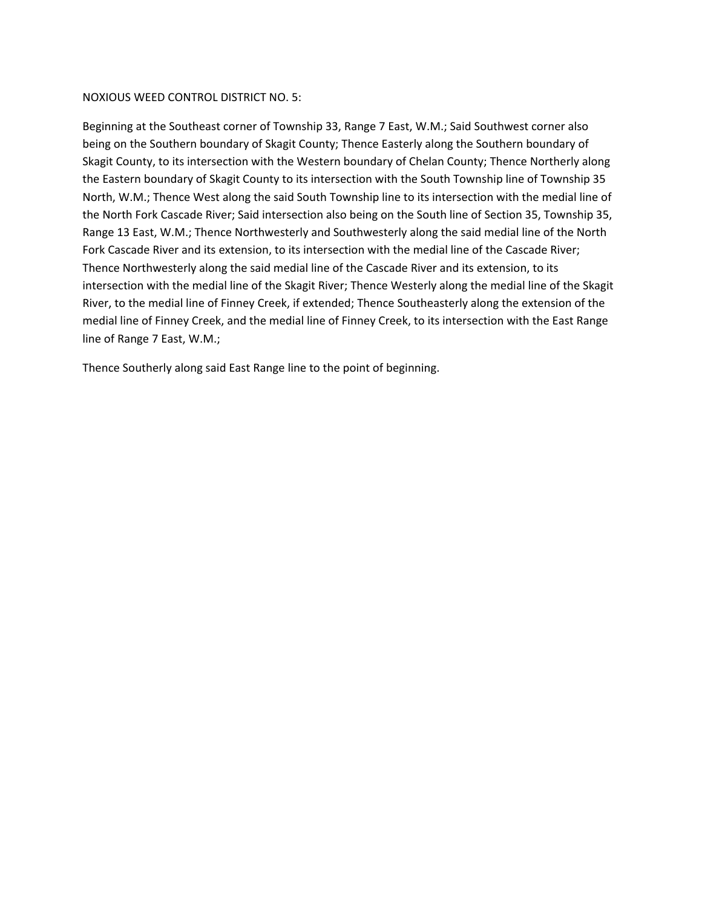### NOXIOUS WEED CONTROL DISTRICT NO. 5:

Beginning at the Southeast corner of Township 33, Range 7 East, W.M.; Said Southwest corner also being on the Southern boundary of Skagit County; Thence Easterly along the Southern boundary of Skagit County, to its intersection with the Western boundary of Chelan County; Thence Northerly along the Eastern boundary of Skagit County to its intersection with the South Township line of Township 35 North, W.M.; Thence West along the said South Township line to its intersection with the medial line of the North Fork Cascade River; Said intersection also being on the South line of Section 35, Township 35, Range 13 East, W.M.; Thence Northwesterly and Southwesterly along the said medial line of the North Fork Cascade River and its extension, to its intersection with the medial line of the Cascade River; Thence Northwesterly along the said medial line of the Cascade River and its extension, to its intersection with the medial line of the Skagit River; Thence Westerly along the medial line of the Skagit River, to the medial line of Finney Creek, if extended; Thence Southeasterly along the extension of the medial line of Finney Creek, and the medial line of Finney Creek, to its intersection with the East Range line of Range 7 East, W.M.;

Thence Southerly along said East Range line to the point of beginning.